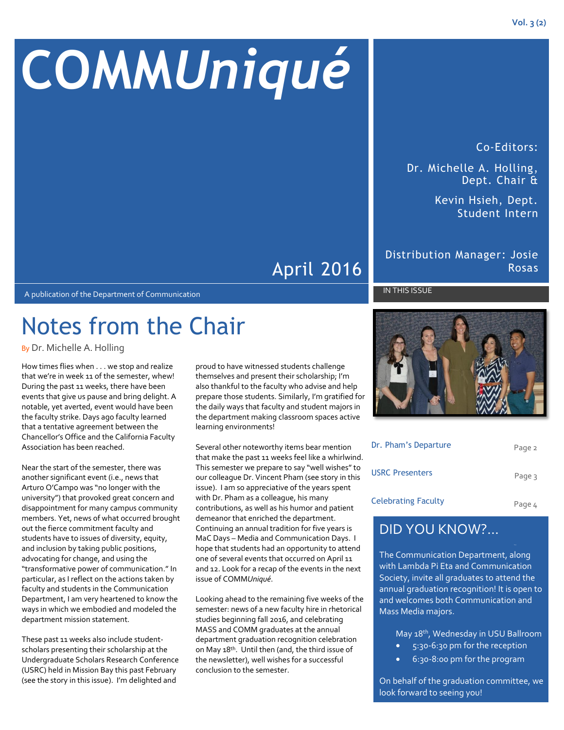# **COMM***Uniqué*

Co-Editors:

Dr. Michelle A. Holling, Dept. Chair &

> Kevin Hsieh, Dept. Student Intern

### Distribution Manager: Josie Rosas

#### IN THIS ISSUE

A publication of the Department of Communication

### Notes from the Chair

By Dr. Michelle A. Holling

How times flies when . . . we stop and realize that we're in week 11 of the semester, whew! During the past 11 weeks, there have been events that give us pause and bring delight. A notable, yet averted, event would have been the faculty strike. Days ago faculty learned that a tentative agreement between the Chancellor's Office and the California Faculty Association has been reached.

Near the start of the semester, there was another significant event (i.e., news that Arturo O'Campo was "no longer with the university") that provoked great concern and disappointment for many campus community members. Yet, news of what occurred brought out the fierce commitment faculty and students have to issues of diversity, equity, and inclusion by taking public positions, advocating for change, and using the "transformative power of communication." In particular, as I reflect on the actions taken by faculty and students in the Communication Department, I am very heartened to know the ways in which we embodied and modeled the department mission statement.

These past 11 weeks also include studentscholars presenting their scholarship at the Undergraduate Scholars Research Conference (USRC) held in Mission Bay this past February (see the story in this issue). I'm delighted and

proud to have witnessed students challenge themselves and present their scholarship; I'm also thankful to the faculty who advise and help prepare those students. Similarly, I'm gratified for the daily ways that faculty and student majors in the department making classroom spaces active learning environments!

April 2016

Several other noteworthy items bear mention that make the past 11 weeks feel like a whirlwind. This semester we prepare to say "well wishes" to our colleague Dr. Vincent Pham (see story in this issue). I am so appreciative of the years spent with Dr. Pham as a colleague, his many contributions, as well as his humor and patient demeanor that enriched the department. Continuing an annual tradition for five years is MaC Days – Media and Communication Days. I hope that students had an opportunity to attend one of several events that occurred on April 11 and 12. Look for a recap of the events in the next issue of COMM*Uniqué*.

Looking ahead to the remaining five weeks of the semester: news of a new faculty hire in rhetorical studies beginning fall 2016, and celebrating MASS and COMM graduates at the annual department graduation recognition celebration on May 18<sup>th</sup>. Until then (and, the third issue of the newsletter), well wishes for a successful conclusion to the semester.



| Dr. Pham's Departure       | Page 2 |
|----------------------------|--------|
| <b>USRC Presenters</b>     | Page 3 |
| <b>Celebrating Faculty</b> | Page 4 |

### DID YOU KNOW?…

The Communication Department, along with Lambda Pi Eta and Communication Society, invite all graduates to attend the annual graduation recognition! It is open to and welcomes both Communication and Mass Media majors.

May 18<sup>th</sup>, Wednesday in USU Ballroom

- 5:30-6:30 pm for the reception
- 6:30-8:00 pm for the program

On behalf of the graduation committee, we look forward to seeing you!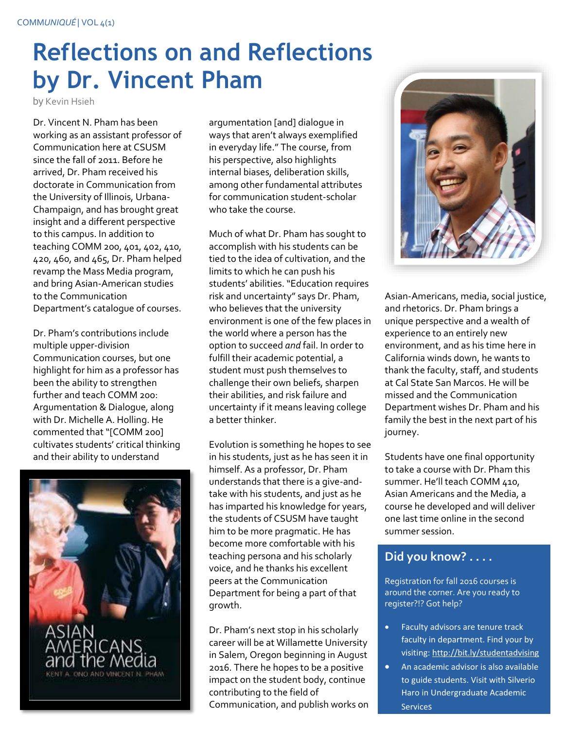### **Reflections on and Reflections by Dr. Vincent Pham**

by Kevin Hsieh

Dr. Vincent N. Pham has been working as an assistant professor of Communication here at CSUSM since the fall of 2011. Before he arrived, Dr. Pham received his doctorate in Communication from the University of Illinois, Urbana-Champaign, and has brought great insight and a different perspective to this campus. In addition to teaching COMM 200, 401, 402, 410, 420, 460, and 465, Dr. Pham helped revamp the Mass Media program, and bring Asian-American studies to the Communication Department's catalogue of courses.

Dr. Pham's contributions include multiple upper-division Communication courses, but one highlight for him as a professor has been the ability to strengthen further and teach COMM 200: Argumentation & Dialogue, along with Dr. Michelle A. Holling. He commented that "[COMM 200] cultivates students' critical thinking and their ability to understand



argumentation [and] dialogue in ways that aren't always exemplified in everyday life." The course, from his perspective, also highlights internal biases, deliberation skills, among other fundamental attributes for communication student-scholar who take the course.

Much of what Dr. Pham has sought to accomplish with his students can be tied to the idea of cultivation, and the limits to which he can push his students' abilities. "Education requires risk and uncertainty" says Dr. Pham, who believes that the university environment is one of the few places in the world where a person has the option to succeed *and* fail. In order to fulfill their academic potential, a student must push themselves to challenge their own beliefs, sharpen their abilities, and risk failure and uncertainty if it means leaving college a better thinker.

Evolution is something he hopes to see in his students, just as he has seen it in himself. As a professor, Dr. Pham understands that there is a give-andtake with his students, and just as he has imparted his knowledge for years, the students of CSUSM have taught him to be more pragmatic. He has become more comfortable with his teaching persona and his scholarly voice, and he thanks his excellent peers at the Communication Department for being a part of that growth.

Dr. Pham's next stop in his scholarly career will be at Willamette University in Salem, Oregon beginning in August 2016. There he hopes to be a positive impact on the student body, continue contributing to the field of Communication, and publish works on



Asian-Americans, media, social justice, and rhetorics. Dr. Pham brings a unique perspective and a wealth of experience to an entirely new environment, and as his time here in California winds down, he wants to thank the faculty, staff, and students at Cal State San Marcos. He will be missed and the Communication Department wishes Dr. Pham and his family the best in the next part of his journey.

Students have one final opportunity to take a course with Dr. Pham this summer. He'll teach COMM 410, Asian Americans and the Media, a course he developed and will deliver one last time online in the second summer session.

### **Did you know? . . . .**

Registration for fall 2016 courses is around the corner. Are you ready to register?!? Got help?

- **•** Faculty advisors are tenure track faculty in department. Find your by visiting[: http://bit.ly/studentadvising](http://www.csusm.edu/communication/student/advising.html)
- **An academic advisor is also available** to guide students. Visit with Silverio Haro in Undergraduate Academic Services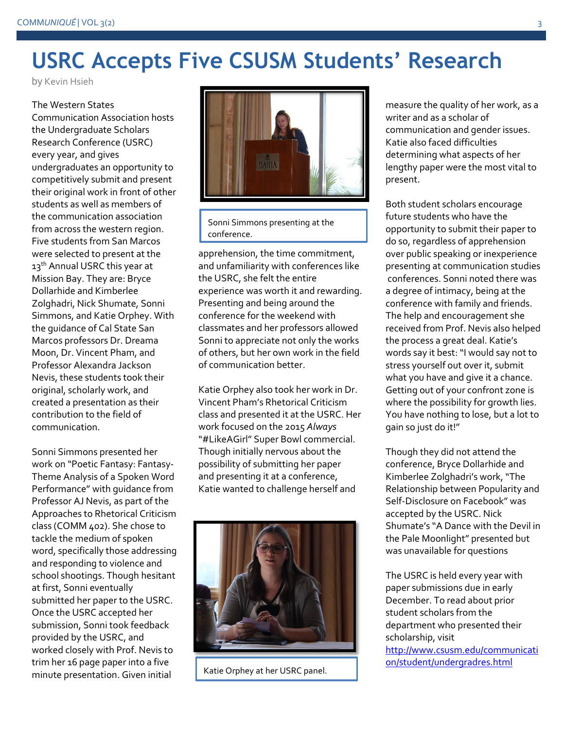### **USRC Accepts Five CSUSM Students' Research**

by Kevin Hsieh

The Western States Communication Association hosts the Undergraduate Scholars Research Conference (USRC) every year, and gives undergraduates an opportunity to competitively submit and present their original work in front of other students as well as members of the communication association from across the western region. Five students from San Marcos were selected to present at the 13<sup>th</sup> Annual USRC this year at Mission Bay. They are: Bryce Dollarhide and Kimberlee Zolghadri, Nick Shumate, Sonni Simmons, and Katie Orphey. With the guidance of Cal State San Marcos professors Dr. Dreama Moon, Dr. Vincent Pham, and Professor Alexandra Jackson Nevis, these students took their original, scholarly work, and created a presentation as their contribution to the field of communication.

Sonni Simmons presented her work on "Poetic Fantasy: Fantasy-Theme Analysis of a Spoken Word Performance" with guidance from Professor AJ Nevis, as part of the Approaches to Rhetorical Criticism class (COMM 402). She chose to tackle the medium of spoken word, specifically those addressing and responding to violence and school shootings. Though hesitant at first, Sonni eventually submitted her paper to the USRC. Once the USRC accepted her submission, Sonni took feedback provided by the USRC, and worked closely with Prof. Nevis to trim her 16 page paper into a five minute presentation. Given initial



Sonni Simmons presenting at the conference.

apprehension, the time commitment, and unfamiliarity with conferences like the USRC, she felt the entire experience was worth it and rewarding. Presenting and being around the conference for the weekend with classmates and her professors allowed Sonni to appreciate not only the works of others, but her own work in the field of communication better.

Katie Orphey also took her work in Dr. Vincent Pham's Rhetorical Criticism class and presented it at the USRC. Her work focused on the 2015 *Always*  "#LikeAGirl" Super Bowl commercial. Though initially nervous about the possibility of submitting her paper and presenting it at a conference, Katie wanted to challenge herself and



Katie Orphey at her USRC panel.

measure the quality of her work, as a writer and as a scholar of communication and gender issues. Katie also faced difficulties determining what aspects of her lengthy paper were the most vital to present.

Both student scholars encourage future students who have the opportunity to submit their paper to do so, regardless of apprehension over public speaking or inexperience presenting at communication studies conferences. Sonni noted there was a degree of intimacy, being at the conference with family and friends. The help and encouragement she received from Prof. Nevis also helped the process a great deal. Katie's words say it best: "I would say not to stress yourself out over it, submit what you have and give it a chance. Getting out of your confront zone is where the possibility for growth lies. You have nothing to lose, but a lot to gain so just do it!"

Though they did not attend the conference, Bryce Dollarhide and Kimberlee Zolghadri's work, "The Relationship between Popularity and Self-Disclosure on Facebook" was accepted by the USRC. Nick Shumate's "A Dance with the Devil in the Pale Moonlight" presented but was unavailable for questions

The USRC is held every year with paper submissions due in early December. To read about prior student scholars from the department who presented their scholarship, visit [http://www.csusm.edu/communicati](http://www.csusm.edu/communication/student/undergradres.html) [on/student/undergradres.html](http://www.csusm.edu/communication/student/undergradres.html)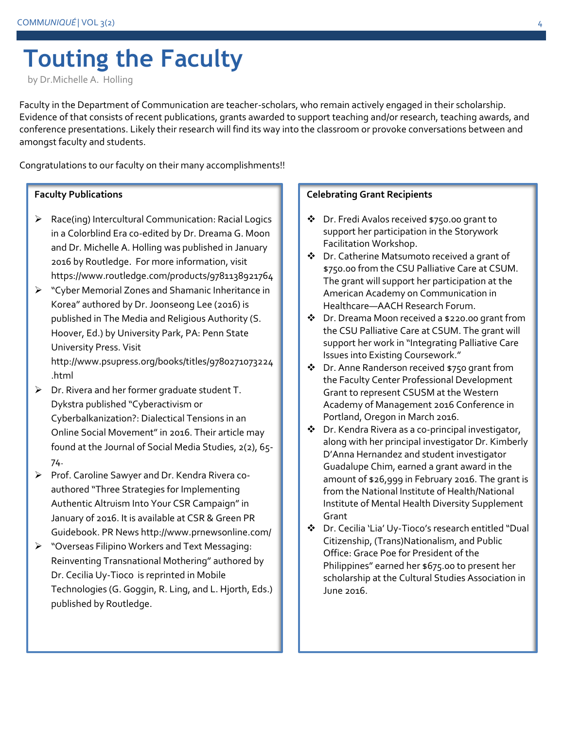## **Touting the Faculty**

by Dr.Michelle A. Holling

Faculty in the Department of Communication are teacher-scholars, who remain actively engaged in their scholarship. Evidence of that consists of recent publications, grants awarded to support teaching and/or research, teaching awards, and conference presentations. Likely their research will find its way into the classroom or provoke conversations between and amongst faculty and students.

Congratulations to our faculty on their many accomplishments!!

### **Faculty Publications**

- $\triangleright$  Race(ing) Intercultural Communication: Racial Logics in a Colorblind Era co-edited by Dr. Dreama G. Moon and Dr. Michelle A. Holling was published in January 2016 by Routledge. For more information, visit https://www.routledge.com/products/9781138921764
- "Cyber Memorial Zones and Shamanic Inheritance in Korea" authored by Dr. Joonseong Lee (2016) is published in The Media and Religious Authority (S. Hoover, Ed.) by University Park, PA: Penn State University Press. Visit http://www.psupress.org/books/titles/9780271073224

.html

- $\triangleright$  Dr. Rivera and her former graduate student T. Dykstra published "Cyberactivism or Cyberbalkanization?: Dialectical Tensions in an Online Social Movement" in 2016. Their article may found at the Journal of Social Media Studies, 2(2), 65- 74.
- $\triangleright$  Prof. Caroline Sawyer and Dr. Kendra Rivera coauthored "Three Strategies for Implementing Authentic Altruism Into Your CSR Campaign" in January of 2016. It is available at CSR & Green PR Guidebook. PR News http://www.prnewsonline.com/
- "Overseas Filipino Workers and Text Messaging: Reinventing Transnational Mothering" authored by Dr. Cecilia Uy-Tioco is reprinted in Mobile Technologies (G. Goggin, R. Ling, and L. Hjorth, Eds.) published by Routledge.

#### **Celebrating Grant Recipients**

- ◆ Dr. Fredi Avalos received \$750.00 grant to support her participation in the Storywork Facilitation Workshop.
- Dr. Catherine Matsumoto received a grant of \$750.00 from the CSU Palliative Care at CSUM. The grant will support her participation at the American Academy on Communication in Healthcare—AACH Research Forum.
- Dr. Dreama Moon received a \$220.00 grant from the CSU Palliative Care at CSUM. The grant will support her work in "Integrating Palliative Care Issues into Existing Coursework."
- ❖ Dr. Anne Randerson received \$750 grant from the Faculty Center Professional Development Grant to represent CSUSM at the Western Academy of Management 2016 Conference in Portland, Oregon in March 2016.
- Dr. Kendra Rivera as a co-principal investigator, along with her principal investigator Dr. Kimberly D'Anna Hernandez and student investigator Guadalupe Chim, earned a grant award in the amount of \$26,999 in February 2016. The grant is from the National Institute of Health/National Institute of Mental Health Diversity Supplement Grant
- Dr. Cecilia 'Lia' Uy-Tioco's research entitled "Dual Citizenship, (Trans)Nationalism, and Public Office: Grace Poe for President of the Philippines" earned her \$675.00 to present her scholarship at the Cultural Studies Association in June 2016.